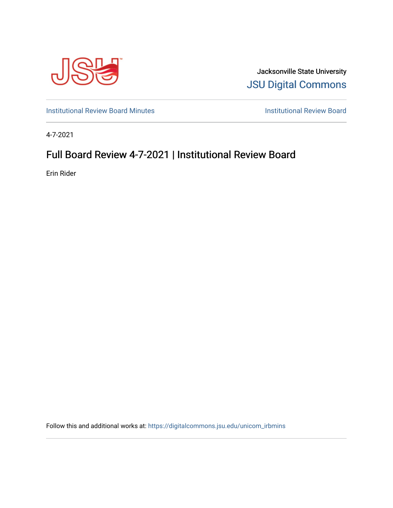

Jacksonville State University [JSU Digital Commons](https://digitalcommons.jsu.edu/) 

[Institutional Review Board Minutes](https://digitalcommons.jsu.edu/unicom_irbmins) **Institutional Review Board** 

4-7-2021

# Full Board Review 4-7-2021 | Institutional Review Board

Erin Rider

Follow this and additional works at: [https://digitalcommons.jsu.edu/unicom\\_irbmins](https://digitalcommons.jsu.edu/unicom_irbmins?utm_source=digitalcommons.jsu.edu%2Funicom_irbmins%2F2&utm_medium=PDF&utm_campaign=PDFCoverPages)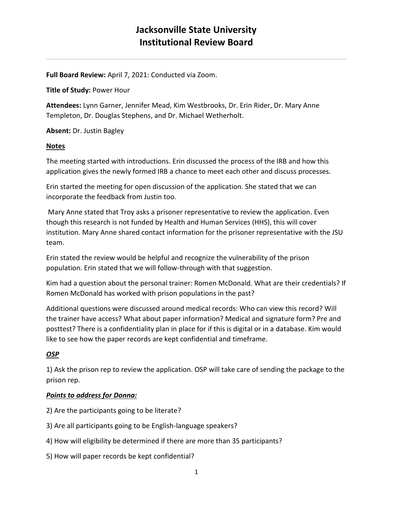**Full Board Review:** April 7, 2021: Conducted via Zoom.

**Title of Study:** Power Hour

**Attendees:** Lynn Garner, Jennifer Mead, Kim Westbrooks, Dr. Erin Rider, Dr. Mary Anne Templeton, Dr. Douglas Stephens, and Dr. Michael Wetherholt.

**Absent:** Dr. Justin Bagley

#### **Notes**

The meeting started with introductions. Erin discussed the process of the IRB and how this application gives the newly formed IRB a chance to meet each other and discuss processes.

Erin started the meeting for open discussion of the application. She stated that we can incorporate the feedback from Justin too.

Mary Anne stated that Troy asks a prisoner representative to review the application. Even though this research is not funded by Health and Human Services (HHS), this will cover institution. Mary Anne shared contact information for the prisoner representative with the JSU team.

Erin stated the review would be helpful and recognize the vulnerability of the prison population. Erin stated that we will follow-through with that suggestion.

Kim had a question about the personal trainer: Romen McDonald. What are their credentials? If Romen McDonald has worked with prison populations in the past?

Additional questions were discussed around medical records: Who can view this record? Will the trainer have access? What about paper information? Medical and signature form? Pre and posttest? There is a confidentiality plan in place for if this is digital or in a database. Kim would like to see how the paper records are kept confidential and timeframe.

#### *OSP*

1) Ask the prison rep to review the application. OSP will take care of sending the package to the prison rep.

#### *Points to address for Donna:*

- 2) Are the participants going to be literate?
- 3) Are all participants going to be English-language speakers?
- 4) How will eligibility be determined if there are more than 35 participants?
- 5) How will paper records be kept confidential?